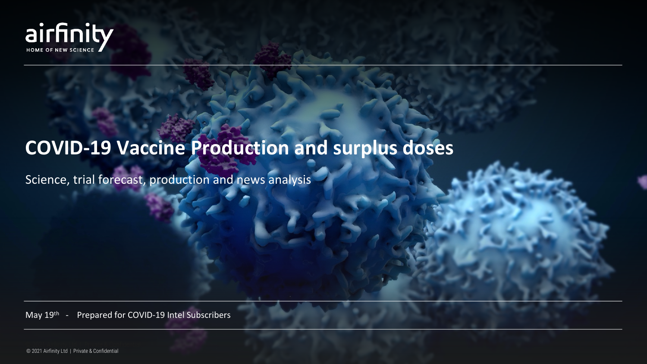

# **COVID-19 Vaccine Production and surplus doses**

Science, trial forecast, production and news analysis

May 19<sup>th</sup> - Prepared for COVID-19 Intel Subscribers

© 2021 Airfinity Ltd | Private & Confidential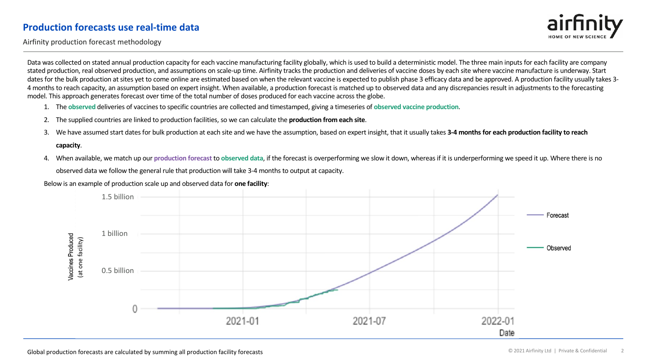#### **Production forecasts use real-time data**



Airfinity production forecast methodology

Data was collected on stated annual production capacity for each vaccine manufacturing facility globally, which is used to build a deterministic model. The three main inputs for each facility are company stated production, real observed production, and assumptions on scale-up time. Airfinity tracks the production and deliveries of vaccine doses by each site where vaccine manufacture is underway. Start dates for the bulk production at sites yet to come online are estimated based on when the relevant vaccine is expected to publish phase 3 efficacy data and be approved. A production facility usually takes 3-4 months to reach capacity, an assumption based on expert insight. When available, a production forecast is matched up to observed data and any discrepancies result in adjustments to the forecasting model. This approach generates forecast over time of the total number of doses produced for each vaccine across the globe.

- 1. The **observed** deliveries of vaccines to specific countries are collected and timestamped, giving a timeseries of **observed vaccine production**.
- 2. The supplied countries are linked to production facilities, so we can calculate the **production from each site**.
- 3. We have assumed start dates for bulk production at each site and we have the assumption, based on expert insight, that it usually takes **3-4 months for each production facility to reach**

#### **capacity**.

4. When available, we match up our **production forecast** to **observed data**, if the forecast is overperforming we slow it down, whereas if it is underperforming we speed it up. Where there is no observed data we follow the general rule that production will take 3-4 months to output at capacity.

Below is an example of production scale up and observed data for **one facility**:

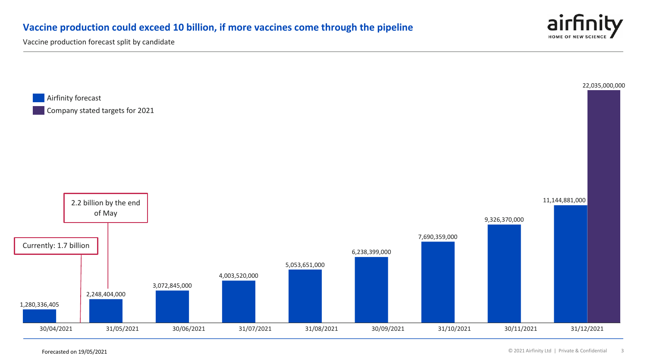## **Vaccine production could exceed 10 billion, if more vaccines come through the pipeline**



Vaccine production forecast split by candidate



Forecasted on 19/05/2021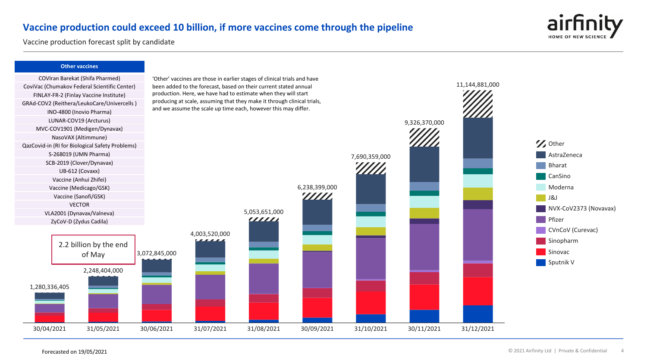#### **Vaccine production could exceed 10 billion, if more vaccines come through the pipeline**



11,144,881,000

Vaccine production forecast split by candidate

#### **Other vaccines**



2,248,404,000

of May

'Other' vaccines are those in earlier stages of clinical trials and have been added to the forecast, based on their current stated annual production. Here, we have had to estimate when they will start producing at scale, assuming that they make it through clinical trials, and we assume the scale up time each, however this may differ.



1,280,336,405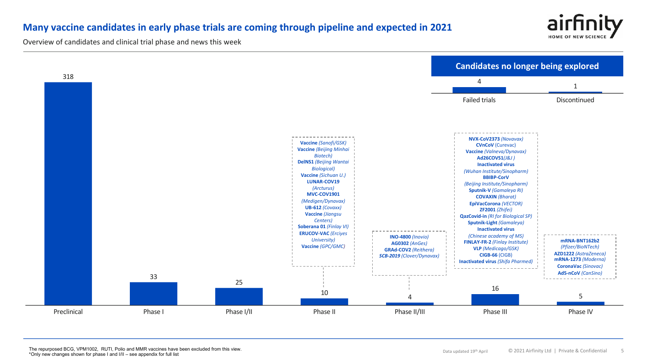## **Many vaccine candidates in early phase trials are coming through pipeline and expected in 2021**



Overview of candidates and clinical trial phase and news this week

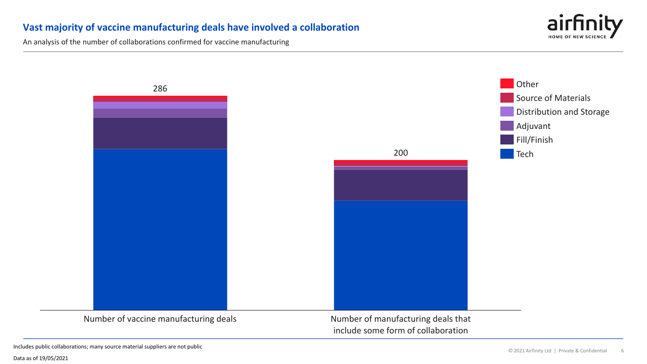#### **Vast majority of vaccine manufacturing deals have involved a collaboration**

An analysis of the number of collaborations confirmed for vaccine manufacturing



Includes public collaborations; many source material suppliers are not public

Data as of 19/05/2021

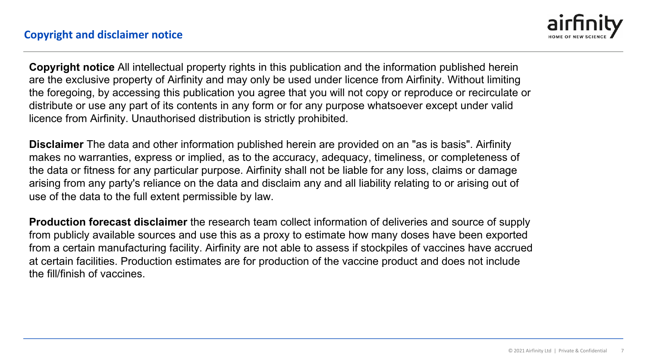

**Copyright notice** All intellectual property rights in this publication and the information published herein are the exclusive property of Airfinity and may only be used under licence from Airfinity. Without limiting the foregoing, by accessing this publication you agree that you will not copy or reproduce or recirculate or distribute or use any part of its contents in any form or for any purpose whatsoever except under valid licence from Airfinity. Unauthorised distribution is strictly prohibited.

**Disclaimer** The data and other information published herein are provided on an "as is basis". Airfinity makes no warranties, express or implied, as to the accuracy, adequacy, timeliness, or completeness of the data or fitness for any particular purpose. Airfinity shall not be liable for any loss, claims or damage arising from any party's reliance on the data and disclaim any and all liability relating to or arising out of use of the data to the full extent permissible by law.

**Production forecast disclaimer** the research team collect information of deliveries and source of supply from publicly available sources and use this as a proxy to estimate how many doses have been exported from a certain manufacturing facility. Airfinity are not able to assess if stockpiles of vaccines have accrued at certain facilities. Production estimates are for production of the vaccine product and does not include the fill/finish of vaccines.